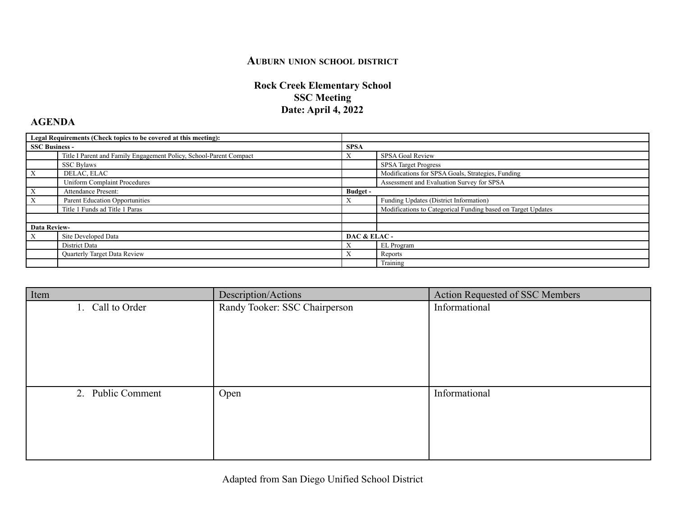## **AUBURN UNION SCHOOL DISTRICT**

## **Rock Creek Elementary School SSC Meeting Date: April 4, 2022**

## **AGENDA**

| Legal Requirements (Check topics to be covered at this meeting): |                                                                    |                 |                                                              |
|------------------------------------------------------------------|--------------------------------------------------------------------|-----------------|--------------------------------------------------------------|
| <b>SSC Business -</b>                                            |                                                                    | <b>SPSA</b>     |                                                              |
|                                                                  | Title I Parent and Family Engagement Policy, School-Parent Compact |                 | SPSA Goal Review                                             |
|                                                                  | <b>SSC Bylaws</b>                                                  |                 | <b>SPSA Target Progress</b>                                  |
|                                                                  | DELAC, ELAC                                                        |                 | Modifications for SPSA Goals, Strategies, Funding            |
|                                                                  | <b>Uniform Complaint Procedures</b>                                |                 | Assessment and Evaluation Survey for SPSA                    |
| X                                                                | Attendance Present:                                                | <b>Budget</b> - |                                                              |
| X                                                                | Parent Education Opportunities                                     | $\Lambda$       | Funding Updates (District Information)                       |
|                                                                  | Title 1 Funds ad Title 1 Paras                                     |                 | Modifications to Categorical Funding based on Target Updates |
|                                                                  |                                                                    |                 |                                                              |
| <b>Data Review-</b>                                              |                                                                    |                 |                                                              |
| X                                                                | Site Developed Data                                                | DAC & ELAC-     |                                                              |
|                                                                  | District Data                                                      |                 | EL Program                                                   |
|                                                                  | Quarterly Target Data Review                                       | $\Lambda$       | Reports                                                      |
|                                                                  |                                                                    |                 | Training                                                     |

| Description/Actions           | Action Requested of SSC Members |
|-------------------------------|---------------------------------|
| Randy Tooker: SSC Chairperson | Informational                   |
|                               |                                 |
|                               |                                 |
|                               |                                 |
|                               |                                 |
|                               |                                 |
| Open                          | Informational                   |
|                               |                                 |
|                               |                                 |
|                               |                                 |
|                               |                                 |
|                               |                                 |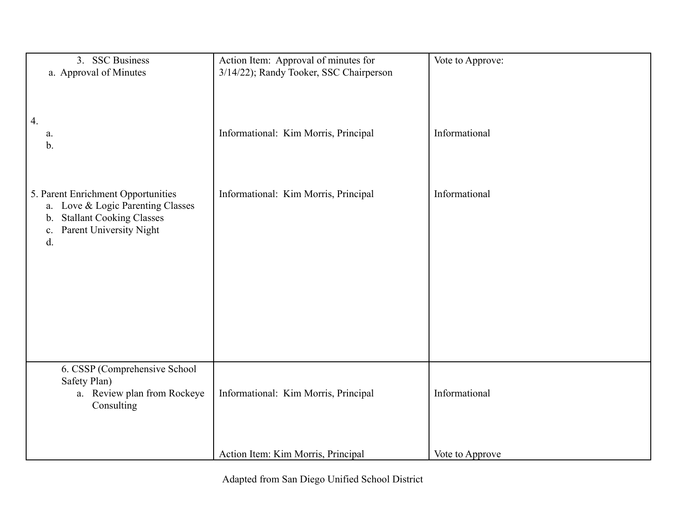| 3. SSC Business<br>a. Approval of Minutes                                                                                                                        | Action Item: Approval of minutes for<br>3/14/22); Randy Tooker, SSC Chairperson | Vote to Approve: |
|------------------------------------------------------------------------------------------------------------------------------------------------------------------|---------------------------------------------------------------------------------|------------------|
| 4.<br>a.<br>b.                                                                                                                                                   | Informational: Kim Morris, Principal                                            | Informational    |
| 5. Parent Enrichment Opportunities<br>a. Love & Logic Parenting Classes<br><b>Stallant Cooking Classes</b><br>$b_{\cdot}$<br>Parent University Night<br>c.<br>d. | Informational: Kim Morris, Principal                                            | Informational    |
| 6. CSSP (Comprehensive School<br>Safety Plan)<br>a. Review plan from Rockeye<br>Consulting                                                                       | Informational: Kim Morris, Principal                                            | Informational    |
|                                                                                                                                                                  | Action Item: Kim Morris, Principal                                              | Vote to Approve  |